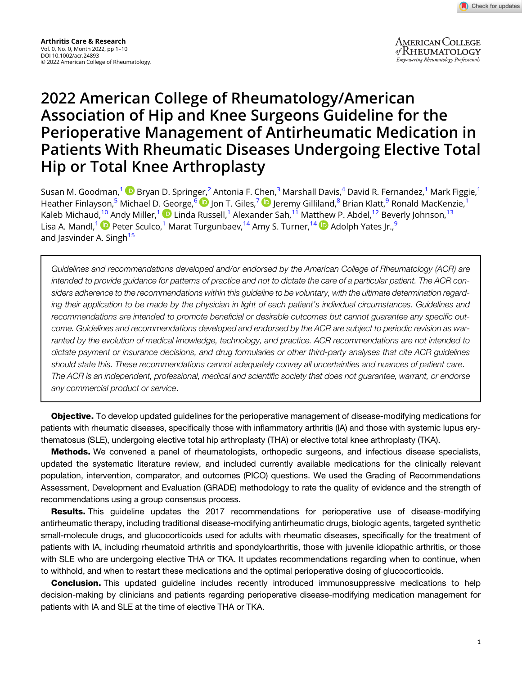**AMERICAN COLLEGE** of Rheumatology Empowering Rheumatology Professionals

# 2022 American College of Rheumatology/American Association of Hip and Knee Surgeons Guideline for the Perioperative Management of Antirheumatic Medication in Patients With Rheumatic Diseases Undergoing Elective Total Hip or Total Knee Arthroplasty

Susan M. Goodman,<sup>1</sup> D Bryan D. Spring[er,](https://orcid.org/0000-0002-0398-2308)<sup>2</sup> Antonia F. C[hen](https://orcid.org/0000-0002-8792-0402),<sup>3</sup> Marshall Davis,<sup>4</sup> David R. Fernandez,<sup>1</sup> Mark Figgie,<sup>1</sup> Heather Finlayson,<sup>5</sup> Michael D. George,<sup>6</sup> D Jon T. Giles,<sup>7</sup> D Jeremy Gilliland,<sup>8</sup> Brian Klatt,<sup>9</sup> Ronald MacKenzie,<sup>1</sup> Kaleb Michaud[,](https://orcid.org/0000-0001-6085-8664)<sup>10</sup> Andy Miller,<sup>1</sup> D Linda Russell,<sup>1</sup> Alexander Sah,<sup>11</sup> Mat[the](https://orcid.org/0000-0001-7695-2022)w P. Abdel,<sup>12</sup> Beverly Johnson,<sup>13</sup> Lisa A. Mandl,<sup>1</sup> Peter Sculco,<sup>1</sup> Marat Turgunbaev,<sup>14</sup> Amy S. Turner,<sup>14</sup> D Adolph Yates Ir.,<sup>9</sup> and Jasvinder A. Singh<sup>15</sup>

Guidelines and recommendations developed and/or endorsed by the American College of Rheumatology (ACR) are intended to provide guidance for patterns of practice and not to dictate the care of a particular patient. The ACR considers adherence to the recommendations within this guideline to be voluntary, with the ultimate determination regarding their application to be made by the physician in light of each patient's individual circumstances. Guidelines and recommendations are intended to promote beneficial or desirable outcomes but cannot guarantee any specific outcome. Guidelines and recommendations developed and endorsed by the ACR are subject to periodic revision as warranted by the evolution of medical knowledge, technology, and practice. ACR recommendations are not intended to dictate payment or insurance decisions, and drug formularies or other third-party analyses that cite ACR guidelines should state this. These recommendations cannot adequately convey all uncertainties and nuances of patient care. The ACR is an independent, professional, medical and scientific society that does not guarantee, warrant, or endorse any commercial product or service.

Objective. To develop updated guidelines for the perioperative management of disease-modifying medications for patients with rheumatic diseases, specifically those with inflammatory arthritis (IA) and those with systemic lupus erythematosus (SLE), undergoing elective total hip arthroplasty (THA) or elective total knee arthroplasty (TKA).

**Methods.** We convened a panel of rheumatologists, orthopedic surgeons, and infectious disease specialists, updated the systematic literature review, and included currently available medications for the clinically relevant population, intervention, comparator, and outcomes (PICO) questions. We used the Grading of Recommendations Assessment, Development and Evaluation (GRADE) methodology to rate the quality of evidence and the strength of recommendations using a group consensus process.

**Results.** This guideline updates the 2017 recommendations for perioperative use of disease-modifying antirheumatic therapy, including traditional disease-modifying antirheumatic drugs, biologic agents, targeted synthetic small-molecule drugs, and glucocorticoids used for adults with rheumatic diseases, specifically for the treatment of patients with IA, including rheumatoid arthritis and spondyloarthritis, those with juvenile idiopathic arthritis, or those with SLE who are undergoing elective THA or TKA. It updates recommendations regarding when to continue, when to withhold, and when to restart these medications and the optimal perioperative dosing of glucocorticoids.

**Conclusion.** This updated guideline includes recently introduced immunosuppressive medications to help decision-making by clinicians and patients regarding perioperative disease-modifying medication management for patients with IA and SLE at the time of elective THA or TKA.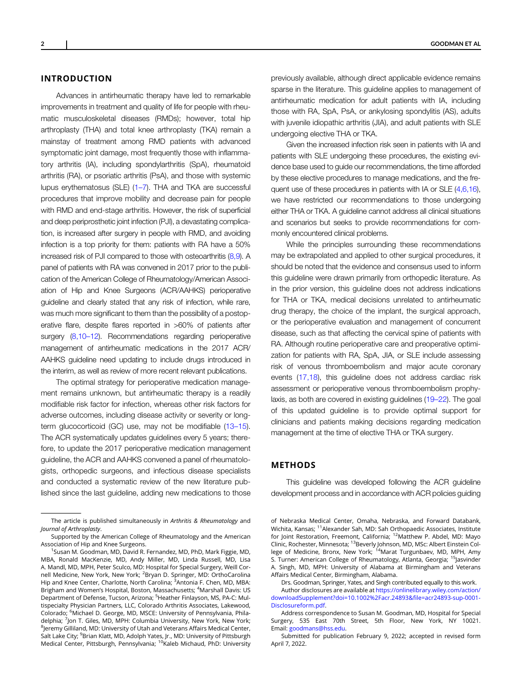#### INTRODUCTION

Advances in antirheumatic therapy have led to remarkable improvements in treatment and quality of life for people with rheumatic musculoskeletal diseases (RMDs); however, total hip arthroplasty (THA) and total knee arthroplasty (TKA) remain a mainstay of treatment among RMD patients with advanced symptomatic joint damage, most frequently those with inflammatory arthritis (IA), including spondylarthritis (SpA), rheumatoid arthritis (RA), or psoriatic arthritis (PsA), and those with systemic lupus erythematosus (SLE) (1–[7](#page-8-0)). THA and TKA are successful procedures that improve mobility and decrease pain for people with RMD and end-stage arthritis. However, the risk of superficial and deep periprosthetic joint infection (PJI), a devastating complication, is increased after surgery in people with RMD, and avoiding infection is a top priority for them: patients with RA have a 50% increased risk of PJI compared to those with osteoarthritis [\(8,9](#page-8-0)). A panel of patients with RA was convened in 2017 prior to the publication of the American College of Rheumatology/American Association of Hip and Knee Surgeons (ACR/AAHKS) perioperative guideline and clearly stated that any risk of infection, while rare, was much more significant to them than the possibility of a postoperative flare, despite flares reported in >60% of patients after surgery [\(8,10](#page-8-0)–12). Recommendations regarding perioperative management of antirheumatic medications in the 2017 ACR/ AAHKS guideline need updating to include drugs introduced in the interim, as well as review of more recent relevant publications.

The optimal strategy for perioperative medication management remains unknown, but antirheumatic therapy is a readily modifiable risk factor for infection, whereas other risk factors for adverse outcomes, including disease activity or severity or longterm glucocorticoid (GC) use, may not be modifiable ([13](#page-8-0)–15). The ACR systematically updates guidelines every 5 years; therefore, to update the 2017 perioperative medication management guideline, the ACR and AAHKS convened a panel of rheumatologists, orthopedic surgeons, and infectious disease specialists and conducted a systematic review of the new literature published since the last guideline, adding new medications to those

previously available, although direct applicable evidence remains sparse in the literature. This guideline applies to management of antirheumatic medication for adult patients with IA, including those with RA, SpA, PsA, or ankylosing spondylitis (AS), adults with juvenile idiopathic arthritis (JIA), and adult patients with SLE undergoing elective THA or TKA.

Given the increased infection risk seen in patients with IA and patients with SLE undergoing these procedures, the existing evidence base used to guide our recommendations, the time afforded by these elective procedures to manage medications, and the fre-quent use of these procedures in patients with IA or SLE [\(4,6,16\)](#page-8-0). we have restricted our recommendations to those undergoing either THA or TKA. A guideline cannot address all clinical situations and scenarios but seeks to provide recommendations for commonly encountered clinical problems.

While the principles surrounding these recommendations may be extrapolated and applied to other surgical procedures, it should be noted that the evidence and consensus used to inform this guideline were drawn primarily from orthopedic literature. As in the prior version, this guideline does not address indications for THA or TKA, medical decisions unrelated to antirheumatic drug therapy, the choice of the implant, the surgical approach, or the perioperative evaluation and management of concurrent disease, such as that affecting the cervical spine of patients with RA. Although routine perioperative care and preoperative optimization for patients with RA, SpA, JIA, or SLE include assessing risk of venous thromboembolism and major acute coronary events [\(17,18\)](#page-8-0), this guideline does not address cardiac risk assessment or perioperative venous thromboembolism prophylaxis, as both are covered in existing guidelines ([19](#page-8-0)–22). The goal of this updated guideline is to provide optimal support for clinicians and patients making decisions regarding medication management at the time of elective THA or TKA surgery.

## METHODS

This guideline was developed following the ACR guideline development process and in accordance with ACR policies guiding

Author disclosures are available at [https://onlinelibrary.wiley.com/action/](https://onlinelibrary.wiley.com/action/downloadSupplement?doi=10.1002%2Facr.24893&file=acr24893-sup-0001-Disclosureform.pdf) [downloadSupplement?doi=10.1002%2Facr.24893&](https://onlinelibrary.wiley.com/action/downloadSupplement?doi=10.1002%2Facr.24893&file=acr24893-sup-0001-Disclosureform.pdf)file=acr24893-sup-0001- [Disclosureform.pdf](https://onlinelibrary.wiley.com/action/downloadSupplement?doi=10.1002%2Facr.24893&file=acr24893-sup-0001-Disclosureform.pdf).

The article is published simultaneously in Arthritis & Rheumatology and Journal of Arthroplasty.

Supported by the American College of Rheumatology and the American Association of Hip and Knee Surgeons.

<sup>&</sup>lt;sup>1</sup>Susan M. Goodman, MD, David R. Fernandez, MD, PhD, Mark Figgie, MD, MBA, Ronald MacKenzie, MD, Andy Miller, MD, Linda Russell, MD, Lisa A. Mandl, MD, MPH, Peter Sculco, MD: Hospital for Special Surgery, Weill Cornell Medicine, New York, New York; <sup>2</sup>Bryan D. Springer, MD: OrthoCarolina Hip and Knee Center, Charlotte, North Carolina; <sup>3</sup>Antonia F. Chen, MD, MBA: Brigham and Women's Hospital, Boston, Massachusetts; <sup>4</sup>Marshall Davis: US Department of Defense, Tucson, Arizona; <sup>5</sup>Heather Finlayson, MS, PA-C: Multispecialty Physician Partners, LLC, Colorado Arthritis Associates, Lakewood, Colorado; <sup>6</sup>Michael D. George, MD, MSCE: University of Pennsylvania, Philadelphia; <sup>7</sup>Jon T. Giles, MD, MPH: Columbia University, New York, New York;  $^8$ Jeremy Gilliland, MD: University of Utah and Veterans Affairs Medical Center, Salt Lake City; <sup>9</sup>Brian Klatt, MD, Adolph Yates, Jr., MD: University of Pittsburgh Medical Center, Pittsburgh, Pennsylvania; <sup>10</sup>Kaleb Michaud, PhD: University

of Nebraska Medical Center, Omaha, Nebraska, and Forward Databank, Wichita, Kansas; 11Alexander Sah, MD: Sah Orthopaedic Associates, Institute for Joint Restoration, Freemont, California; <sup>12</sup>Matthew P. Abdel, MD: Mayo Clinic, Rochester, Minnesota; <sup>13</sup>Beverly Johnson, MD, MSc: Albert Einstein College of Medicine, Bronx, New York; <sup>14</sup>Marat Turgunbaev, MD, MPH, Amy S. Turner: American College of Rheumatology, Atlanta, Georgia; <sup>15</sup>Jasvinder A. Singh, MD, MPH: University of Alabama at Birmingham and Veterans Affairs Medical Center, Birmingham, Alabama.

Drs. Goodman, Springer, Yates, and Singh contributed equally to this work.

Address correspondence to Susan M. Goodman, MD, Hospital for Special Surgery, 535 East 70th Street, 5th Floor, New York, NY 10021. Email: [goodmans@hss.edu.](mailto:goodmans@hss.edu)

Submitted for publication February 9, 2022; accepted in revised form April 7, 2022.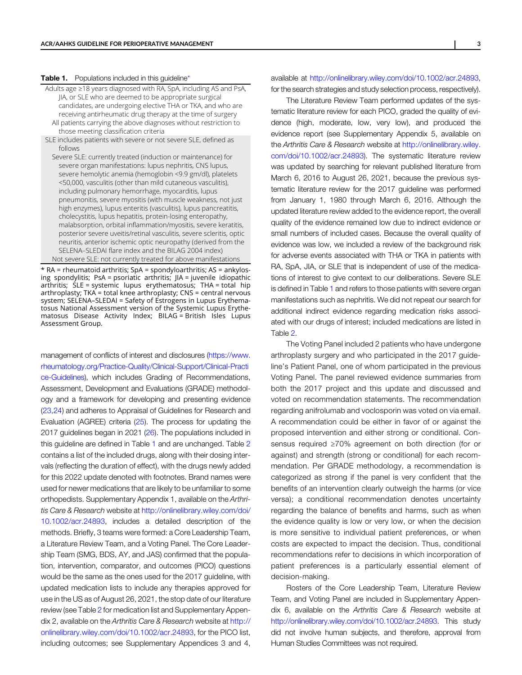#### <span id="page-2-0"></span>Table 1. Populations included in this guideline\*

Adults age ≥18 years diagnosed with RA, SpA, including AS and PsA, JIA, or SLE who are deemed to be appropriate surgical candidates, are undergoing elective THA or TKA, and who are receiving antirheumatic drug therapy at the time of surgery All patients carrying the above diagnoses without restriction to those meeting classification criteria SLE includes patients with severe or not severe SLE, defined as follows Severe SLE: currently treated (induction or maintenance) for severe organ manifestations: lupus nephritis, CNS lupus,

severe hemolytic anemia (hemoglobin <9.9 gm/dl), platelets <50,000, vasculitis (other than mild cutaneous vasculitis), including pulmonary hemorrhage, myocarditis, lupus pneumonitis, severe myositis (with muscle weakness, not just high enzymes), lupus enteritis (vasculitis), lupus pancreatitis, cholecystitis, lupus hepatitis, protein-losing enteropathy, malabsorption, orbital inflammation/myositis, severe keratitis, posterior severe uveitis/retinal vasculitis, severe scleritis, optic neuritis, anterior ischemic optic neuropathy (derived from the SELENA–SLEDAI flare index and the BILAG 2004 index) Not severe SLE: not currently treated for above manifestations

\* RA = rheumatoid arthritis; SpA = spondyloarthritis; AS = ankylosing spondylitis; PsA = psoriatic arthritis; JIA = juvenile idiopathic arthritis; SLE = systemic lupus erythematosus; THA = total hip arthroplasty; TKA = total knee arthroplasty; CNS = central nervous system; SELENA–SLEDAI = Safety of Estrogens in Lupus Erythematosus National Assessment version of the Systemic Lupus Erythematosus Disease Activity Index; BILAG = British Isles Lupus Assessment Group.

management of conflicts of interest and disclosures ([https://www.](https://www.rheumatology.org/Practice-Quality/Clinical-Support/Clinical-Practice-Guidelines) [rheumatology.org/Practice-Quality/Clinical-Support/Clinical-Practi](https://www.rheumatology.org/Practice-Quality/Clinical-Support/Clinical-Practice-Guidelines) [ce-Guidelines](https://www.rheumatology.org/Practice-Quality/Clinical-Support/Clinical-Practice-Guidelines)), which includes Grading of Recommendations, Assessment, Development and Evaluations (GRADE) methodology and a framework for developing and presenting evidence [\(23,24\)](#page-8-0) and adheres to Appraisal of Guidelines for Research and Evaluation (AGREE) criteria [\(25](#page-8-0)). The process for updating the 2017 guidelines began in 2021 [\(26](#page-8-0)). The populations included in this guideline are defined in Table 1 and are unchanged. Table [2](#page-3-0) contains a list of the included drugs, along with their dosing intervals (reflecting the duration of effect), with the drugs newly added for this 2022 update denoted with footnotes. Brand names were used for newer medications that are likely to be unfamiliar to some orthopedists. Supplementary Appendix 1, available on the Arthritis Care & Research website at [http://onlinelibrary.wiley.com/doi/](https://doi.org/10.1002/acr.24893) [10.1002/acr.24893](https://doi.org/10.1002/acr.24893), includes a detailed description of the methods. Briefly, 3 teams were formed: a Core Leadership Team, a Literature Review Team, and a Voting Panel. The Core Leadership Team (SMG, BDS, AY, and JAS) confirmed that the population, intervention, comparator, and outcomes (PICO) questions would be the same as the ones used for the 2017 guideline, with updated medication lists to include any therapies approved for use in the US as of August 26, 2021, the stop date of our literature review (see Table [2](#page-3-0) for medication list and Supplementary Appendix 2, available on the Arthritis Care & Research website at [http://](https://doi.org/10.1002/acr.24893) [onlinelibrary.wiley.com/doi/10.1002/acr.24893](https://doi.org/10.1002/acr.24893), for the PICO list, including outcomes; see Supplementary Appendices 3 and 4,

available at [http://onlinelibrary.wiley.com/doi/10.1002/acr.24893,](http://onlinelibrary.wiley.com/doi/10.1002/acr.24893) for the search strategies and study selection process, respectively).

The Literature Review Team performed updates of the systematic literature review for each PICO, graded the quality of evidence (high, moderate, low, very low), and produced the evidence report (see Supplementary Appendix 5, available on the Arthritis Care & Research website at [http://onlinelibrary.wiley.](https://doi.org/10.1002/acr.24893) [com/doi/10.1002/acr.24893\)](https://doi.org/10.1002/acr.24893). The systematic literature review was updated by searching for relevant published literature from March 6, 2016 to August 26, 2021, because the previous systematic literature review for the 2017 guideline was performed from January 1, 1980 through March 6, 2016. Although the updated literature review added to the evidence report, the overall quality of the evidence remained low due to indirect evidence or small numbers of included cases. Because the overall quality of evidence was low, we included a review of the background risk for adverse events associated with THA or TKA in patients with RA, SpA, JIA, or SLE that is independent of use of the medications of interest to give context to our deliberations. Severe SLE is defined in Table 1 and refers to those patients with severe organ manifestations such as nephritis. We did not repeat our search for additional indirect evidence regarding medication risks associated with our drugs of interest; included medications are listed in Table [2](#page-3-0).

The Voting Panel included 2 patients who have undergone arthroplasty surgery and who participated in the 2017 guideline's Patient Panel, one of whom participated in the previous Voting Panel. The panel reviewed evidence summaries from both the 2017 project and this update and discussed and voted on recommendation statements. The recommendation regarding anifrolumab and voclosporin was voted on via email. A recommendation could be either in favor of or against the proposed intervention and either strong or conditional. Consensus required ≥70% agreement on both direction (for or against) and strength (strong or conditional) for each recommendation. Per GRADE methodology, a recommendation is categorized as strong if the panel is very confident that the benefits of an intervention clearly outweigh the harms (or vice versa); a conditional recommendation denotes uncertainty regarding the balance of benefits and harms, such as when the evidence quality is low or very low, or when the decision is more sensitive to individual patient preferences, or when costs are expected to impact the decision. Thus, conditional recommendations refer to decisions in which incorporation of patient preferences is a particularly essential element of decision-making.

Rosters of the Core Leadership Team, Literature Review Team, and Voting Panel are included in Supplementary Appendix 6, available on the Arthritis Care & Research website at [http://onlinelibrary.wiley.com/doi/10.1002/acr.24893](https://doi.org/10.1002/acr.24893). This study did not involve human subjects, and therefore, approval from Human Studies Committees was not required.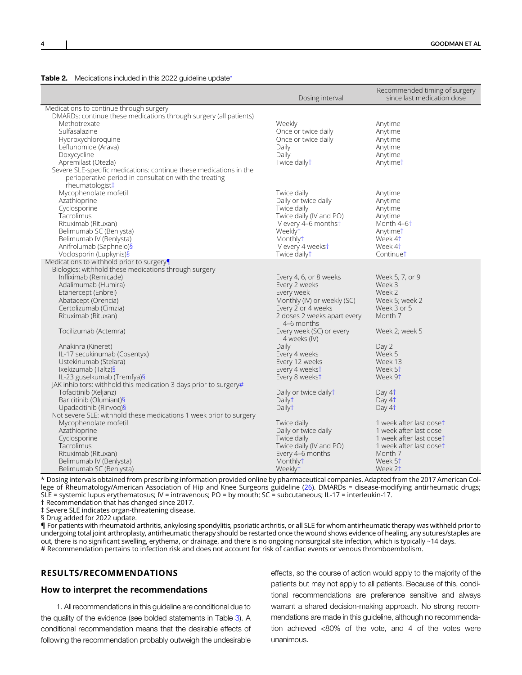<span id="page-3-0"></span>

| Table 2. |  | Medications included in this 2022 guideline update* |
|----------|--|-----------------------------------------------------|
|          |  |                                                     |

|                                                                    | Dosing interval                        | Recommended timing of surgery<br>since last medication dose |
|--------------------------------------------------------------------|----------------------------------------|-------------------------------------------------------------|
| Medications to continue through surgery                            |                                        |                                                             |
| DMARDs: continue these medications through surgery (all patients)  |                                        |                                                             |
| Methotrexate                                                       | Weekly                                 | Anytime                                                     |
| Sulfasalazine                                                      | Once or twice daily                    | Anytime                                                     |
| Hydroxychloroquine                                                 | Once or twice daily                    | Anytime                                                     |
| Leflunomide (Arava)                                                | Daily                                  | Anytime                                                     |
| Doxycycline                                                        | Daily                                  | Anytime                                                     |
| Apremilast (Otezla)                                                | Twice dailyt                           | Anytimet                                                    |
| Severe SLE-specific medications: continue these medications in the |                                        |                                                             |
| perioperative period in consultation with the treating             |                                        |                                                             |
| rheumatologist‡                                                    |                                        |                                                             |
| Mycophenolate mofetil                                              | Twice daily                            | Anytime                                                     |
| Azathioprine                                                       | Daily or twice daily                   | Anytime                                                     |
| Cyclosporine                                                       | Twice daily                            | Anytime                                                     |
| Tacrolimus                                                         | Twice daily (IV and PO)                | Anytime                                                     |
| Rituximab (Rituxan)                                                | IV every 4-6 monthst                   | Month 4-6 <sup>+</sup>                                      |
| Belimumab SC (Benlysta)                                            | Weeklyt                                | Anytimet                                                    |
| Belimumab IV (Benlysta)                                            | Monthlyt                               | Week 4 <sup>+</sup>                                         |
| Anifrolumab (Saphnelo)§                                            | IV every 4 weekst                      | Week 4t                                                     |
| Voclosporin (Lupkynis)§                                            | Twice dailyt                           | Continuet                                                   |
| Medications to withhold prior to surgery                           |                                        |                                                             |
| Biologics: withhold these medications through surgery              |                                        |                                                             |
| Infliximab (Remicade)                                              | Every 4, 6, or 8 weeks                 | Week 5, 7, or 9                                             |
| Adalimumab (Humira)                                                | Every 2 weeks                          | Week 3                                                      |
| Etanercept (Enbrel)                                                | Every week                             | Week 2                                                      |
| Abatacept (Orencia)                                                | Monthly (IV) or weekly (SC)            | Week 5; week 2                                              |
| Certolizumab (Cimzia)                                              | Every 2 or 4 weeks                     | Week 3 or 5                                                 |
| Rituximab (Rituxan)                                                | 2 doses 2 weeks apart every            | Month 7                                                     |
|                                                                    | 4–6 months                             |                                                             |
| Tocilizumab (Actemra)                                              | Every week (SC) or every               | Week 2; week 5                                              |
|                                                                    | 4 weeks (IV)                           |                                                             |
| Anakinra (Kineret)                                                 | Daily                                  | Day 2                                                       |
| IL-17 secukinumab (Cosentyx)                                       | Every 4 weeks                          | Week 5                                                      |
| Ustekinumab (Stelara)                                              | Every 12 weeks                         | Week 13                                                     |
| Ixekizumab (Taltz)§                                                | Every 4 weekst                         | Week 5 <sup>†</sup>                                         |
| IL-23 guselkumab (Tremfya)§                                        | Every 8 weekst                         | Week 9 <sup>+</sup>                                         |
| JAK inhibitors: withhold this medication 3 days prior to surgery#  |                                        |                                                             |
| Tofacitinib (Xeljanz)                                              | Daily or twice dailyt                  | Day 4 <sup>+</sup>                                          |
| Baricitinib (Olumiant)§                                            | Dailyt                                 | Day 4 <sup>+</sup>                                          |
| Upadacitinib (Rinvog)§                                             | Dailyt                                 | Day 4 <sup>+</sup>                                          |
| Not severe SLE: withhold these medications 1 week prior to surgery |                                        |                                                             |
| Mycophenolate mofetil                                              | Twice daily                            | 1 week after last doset                                     |
| Azathioprine                                                       | Daily or twice daily                   | 1 week after last dose                                      |
| Cyclosporine                                                       |                                        | 1 week after last doset                                     |
| Tacrolimus                                                         | Twice daily<br>Twice daily (IV and PO) | 1 week after last doset                                     |
| Rituximab (Rituxan)                                                |                                        | Month 7                                                     |
|                                                                    | Every 4-6 months<br>Monthlyt           | Week 5 <sup>+</sup>                                         |
| Belimumab IV (Benlysta)                                            |                                        |                                                             |
| Belimumab SC (Benlysta)                                            | Weeklyt                                | Week 2†                                                     |

\* Dosing intervals obtained from prescribing information provided online by pharmaceutical companies. Adapted from the 2017 American College of Rheumatology/American Association of Hip and Knee Surgeons guideline [\(26](#page-8-0)). DMARDs = disease-modifying antirheumatic drugs; SLE = systemic lupus erythematosus; IV = intravenous; PO = by mouth; SC = subcutaneous; IL-17 = interleukin-17. † Recommendation that has changed since 2017.

‡ Severe SLE indicates organ-threatening disease.

§ Drug added for 2022 update.

¶ For patients with rheumatoid arthritis, ankylosing spondylitis, psoriatic arthritis, or all SLE for whom antirheumatic therapy was withheld prior to undergoing total joint arthroplasty, antirheumatic therapy should be restarted once the wound shows evidence of healing, any sutures/staples are out, there is no significant swelling, erythema, or drainage, and there is no ongoing nonsurgical site infection, which is typically ~14 days. # Recommendation pertains to infection risk and does not account for risk of cardiac events or venous thromboembolism.

## RESULTS/RECOMMENDATIONS

#### How to interpret the recommendations

1. All recommendations in this guideline are conditional due to the quality of the evidence (see bolded statements in Table [3\)](#page-4-0). A conditional recommendation means that the desirable effects of following the recommendation probably outweigh the undesirable effects, so the course of action would apply to the majority of the patients but may not apply to all patients. Because of this, conditional recommendations are preference sensitive and always warrant a shared decision-making approach. No strong recommendations are made in this guideline, although no recommendation achieved <80% of the vote, and 4 of the votes were unanimous.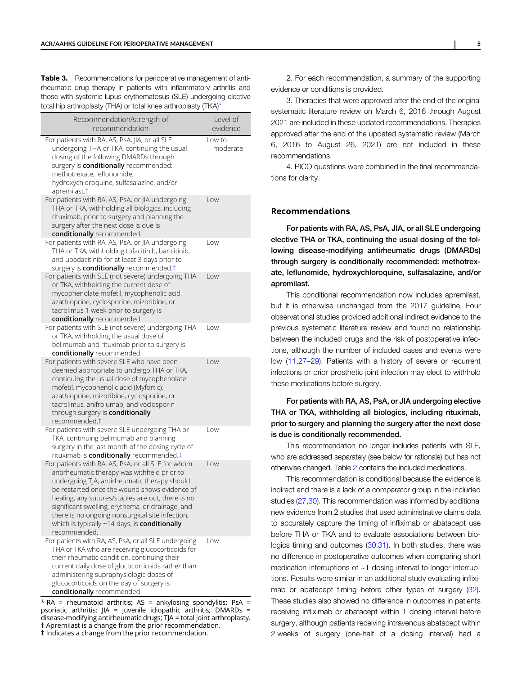<span id="page-4-0"></span>**Table 3.** Recommendations for perioperative management of antirheumatic drug therapy in patients with inflammatory arthritis and those with systemic lupus erythematosus (SLE) undergoing elective total hip arthroplasty (THA) or total knee arthroplasty (TKA)\*

| Recommendation/strength of<br>recommendation                                                                                                                                                                                                                                                                                                                                                                                    | Level of<br>evidence |
|---------------------------------------------------------------------------------------------------------------------------------------------------------------------------------------------------------------------------------------------------------------------------------------------------------------------------------------------------------------------------------------------------------------------------------|----------------------|
| For patients with RA, AS, PsA, JIA, or all SLE<br>undergoing THA or TKA, continuing the usual<br>dosing of the following DMARDs through<br>surgery is conditionally recommended:<br>methotrexate, leflunomide,<br>hydroxychloroquine, sulfasalazine, and/or<br>apremilast. <sup>†</sup>                                                                                                                                         | Low to<br>moderate   |
| For patients with RA, AS, PsA, or JIA undergoing<br>THA or TKA, withholding all biologics, including<br>rituximab, prior to surgery and planning the<br>surgery after the next dose is due is<br>conditionally recommended.                                                                                                                                                                                                     | Low                  |
| For patients with RA, AS, PsA, or JIA undergoing<br>THA or TKA, withholding tofacitinib, baricitinib,<br>and upadacitinib for at least 3 days prior to<br>surgery is conditionally recommended.#                                                                                                                                                                                                                                | Low                  |
| For patients with SLE (not severe) undergoing THA<br>or TKA, withholding the current dose of<br>mycophenolate mofetil, mycophenolic acid,<br>azathioprine, cyclosporine, mizoribine, or<br>tacrolimus 1 week prior to surgery is<br>conditionally recommended.                                                                                                                                                                  | Low                  |
| For patients with SLE (not severe) undergoing THA<br>or TKA, withholding the usual dose of<br>belimumab and rituximab prior to surgery is<br>conditionally recommended.                                                                                                                                                                                                                                                         | Low                  |
| For patients with severe SLE who have been<br>deemed appropriate to undergo THA or TKA,<br>continuing the usual dose of mycophenolate<br>mofetil, mycophenolic acid (Myfortic),<br>azathioprine, mizoribine, cyclosporine, or<br>tacrolimus, anifrolumab, and voclosporin<br>through surgery is conditionally<br>recommended.‡                                                                                                  | Low                  |
| For patients with severe SLE undergoing THA or<br>TKA, continuing belimumab and planning<br>surgery in the last month of the dosing cycle of<br>rituximab is conditionally recommended.#                                                                                                                                                                                                                                        | Low                  |
| For patients with RA, AS, PsA, or all SLE for whom<br>antirheumatic therapy was withheld prior to<br>undergoing TJA, antirheumatic therapy should<br>be restarted once the wound shows evidence of<br>healing, any sutures/staples are out, there is no<br>significant swelling, erythema, or drainage, and<br>there is no ongoing nonsurgical site infection,<br>which is typically ~14 days, is conditionally<br>recommended. | l ow                 |
| For patients with RA, AS, PsA, or all SLE undergoing<br>THA or TKA who are receiving glucocorticoids for<br>their rheumatic condition, continuing their<br>current daily dose of glucocorticoids rather than<br>administering supraphysiologic doses of<br>glucocorticoids on the day of surgery is<br>conditionally recommended.                                                                                               | Low                  |

 $*$  RA = rheumatoid arthritis; AS = ankylosing spondylitis; PsA = psoriatic arthritis; JIA = juvenile idiopathic arthritis; DMARDs = disease-modifying antirheumatic drugs; TJA = total joint arthroplasty. † Apremilast is a change from the prior recommendation. ‡ Indicates a change from the prior recommendation.

2. For each recommendation, a summary of the supporting evidence or conditions is provided.

3. Therapies that were approved after the end of the original systematic literature review on March 6, 2016 through August 2021 are included in these updated recommendations. Therapies approved after the end of the updated systematic review (March 6, 2016 to August 26, 2021) are not included in these recommendations.

4. PICO questions were combined in the final recommendations for clarity.

### Recommendations

For patients with RA, AS, PsA, JIA, or all SLE undergoing elective THA or TKA, continuing the usual dosing of the following disease-modifying antirheumatic drugs (DMARDs) through surgery is conditionally recommended: methotrexate, leflunomide, hydroxychloroquine, sulfasalazine, and/or apremilast.

This conditional recommendation now includes apremilast, but it is otherwise unchanged from the 2017 guideline. Four observational studies provided additional indirect evidence to the previous systematic literature review and found no relationship between the included drugs and the risk of postoperative infections, although the number of included cases and events were low ([11,27](#page-8-0)–29). Patients with a history of severe or recurrent infections or prior prosthetic joint infection may elect to withhold these medications before surgery.

For patients with RA, AS, PsA, or JIA undergoing elective THA or TKA, withholding all biologics, including rituximab, prior to surgery and planning the surgery after the next dose is due is conditionally recommended.

This recommendation no longer includes patients with SLE, who are addressed separately (see below for rationale) but has not otherwise changed. Table [2](#page-3-0) contains the included medications.

This recommendation is conditional because the evidence is indirect and there is a lack of a comparator group in the included studies ([27,30\)](#page-8-0). This recommendation was informed by additional new evidence from 2 studies that used administrative claims data to accurately capture the timing of infliximab or abatacept use before THA or TKA and to evaluate associations between biologics timing and outcomes [\(30,31\)](#page-9-0). In both studies, there was no difference in postoperative outcomes when comparing short medication interruptions of ~1 dosing interval to longer interruptions. Results were similar in an additional study evaluating infliximab or abatacept timing before other types of surgery [\(32](#page-9-0)). These studies also showed no difference in outcomes in patients receiving infliximab or abatacept within 1 dosing interval before surgery, although patients receiving intravenous abatacept within 2 weeks of surgery (one-half of a dosing interval) had a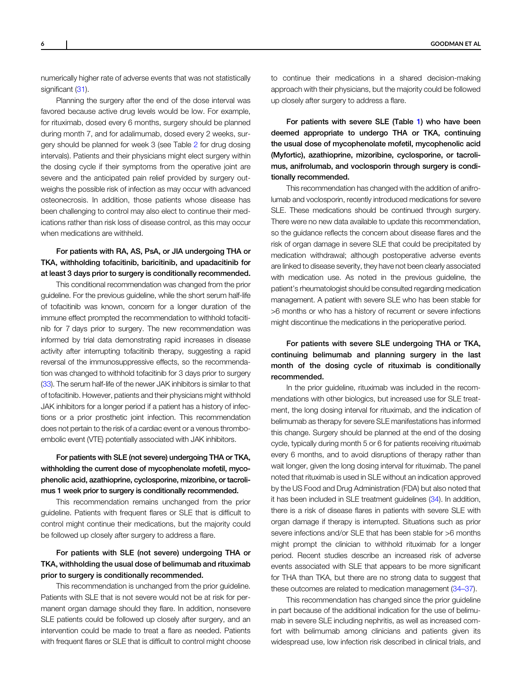numerically higher rate of adverse events that was not statistically significant [\(31](#page-9-0)).

Planning the surgery after the end of the dose interval was favored because active drug levels would be low. For example, for rituximab, dosed every 6 months, surgery should be planned during month 7, and for adalimumab, dosed every 2 weeks, surgery should be planned for week 3 (see Table [2](#page-3-0) for drug dosing intervals). Patients and their physicians might elect surgery within the dosing cycle if their symptoms from the operative joint are severe and the anticipated pain relief provided by surgery outweighs the possible risk of infection as may occur with advanced osteonecrosis. In addition, those patients whose disease has been challenging to control may also elect to continue their medications rather than risk loss of disease control, as this may occur when medications are withheld.

## For patients with RA, AS, PsA, or JIA undergoing THA or TKA, withholding tofacitinib, baricitinib, and upadacitinib for at least 3 days prior to surgery is conditionally recommended.

This conditional recommendation was changed from the prior guideline. For the previous guideline, while the short serum half-life of tofacitinib was known, concern for a longer duration of the immune effect prompted the recommendation to withhold tofacitinib for 7 days prior to surgery. The new recommendation was informed by trial data demonstrating rapid increases in disease activity after interrupting tofacitinib therapy, suggesting a rapid reversal of the immunosuppressive effects, so the recommendation was changed to withhold tofacitinib for 3 days prior to surgery [\(33\)](#page-9-0). The serum half-life of the newer JAK inhibitors is similar to that of tofacitinib. However, patients and their physicians might withhold JAK inhibitors for a longer period if a patient has a history of infections or a prior prosthetic joint infection. This recommendation does not pertain to the risk of a cardiac event or a venous thromboembolic event (VTE) potentially associated with JAK inhibitors.

## For patients with SLE (not severe) undergoing THA or TKA, withholding the current dose of mycophenolate mofetil, mycophenolic acid, azathioprine, cyclosporine, mizoribine, or tacrolimus 1 week prior to surgery is conditionally recommended.

This recommendation remains unchanged from the prior guideline. Patients with frequent flares or SLE that is difficult to control might continue their medications, but the majority could be followed up closely after surgery to address a flare.

## For patients with SLE (not severe) undergoing THA or TKA, withholding the usual dose of belimumab and rituximab prior to surgery is conditionally recommended.

This recommendation is unchanged from the prior guideline. Patients with SLE that is not severe would not be at risk for permanent organ damage should they flare. In addition, nonsevere SLE patients could be followed up closely after surgery, and an intervention could be made to treat a flare as needed. Patients with frequent flares or SLE that is difficult to control might choose

to continue their medications in a shared decision-making approach with their physicians, but the majority could be followed up closely after surgery to address a flare.

For patients with severe SLE (Table [1\)](#page-2-0) who have been deemed appropriate to undergo THA or TKA, continuing the usual dose of mycophenolate mofetil, mycophenolic acid (Myfortic), azathioprine, mizoribine, cyclosporine, or tacrolimus, anifrolumab, and voclosporin through surgery is conditionally recommended.

This recommendation has changed with the addition of anifrolumab and voclosporin, recently introduced medications for severe SLE. These medications should be continued through surgery. There were no new data available to update this recommendation, so the guidance reflects the concern about disease flares and the risk of organ damage in severe SLE that could be precipitated by medication withdrawal; although postoperative adverse events are linked to disease severity, they have not been clearly associated with medication use. As noted in the previous guideline, the patient's rheumatologist should be consulted regarding medication management. A patient with severe SLE who has been stable for >6 months or who has a history of recurrent or severe infections might discontinue the medications in the perioperative period.

## For patients with severe SLE undergoing THA or TKA, continuing belimumab and planning surgery in the last month of the dosing cycle of rituximab is conditionally recommended.

In the prior guideline, rituximab was included in the recommendations with other biologics, but increased use for SLE treatment, the long dosing interval for rituximab, and the indication of belimumab as therapy for severe SLE manifestations has informed this change. Surgery should be planned at the end of the dosing cycle, typically during month 5 or 6 for patients receiving rituximab every 6 months, and to avoid disruptions of therapy rather than wait longer, given the long dosing interval for rituximab. The panel noted that rituximab is used in SLE without an indication approved by the US Food and Drug Administration (FDA) but also noted that it has been included in SLE treatment guidelines [\(34](#page-9-0)). In addition, there is a risk of disease flares in patients with severe SLE with organ damage if therapy is interrupted. Situations such as prior severe infections and/or SLE that has been stable for >6 months might prompt the clinician to withhold rituximab for a longer period. Recent studies describe an increased risk of adverse events associated with SLE that appears to be more significant for THA than TKA, but there are no strong data to suggest that these outcomes are related to medication management [\(34](#page-9-0)–37).

This recommendation has changed since the prior guideline in part because of the additional indication for the use of belimumab in severe SLE including nephritis, as well as increased comfort with belimumab among clinicians and patients given its widespread use, low infection risk described in clinical trials, and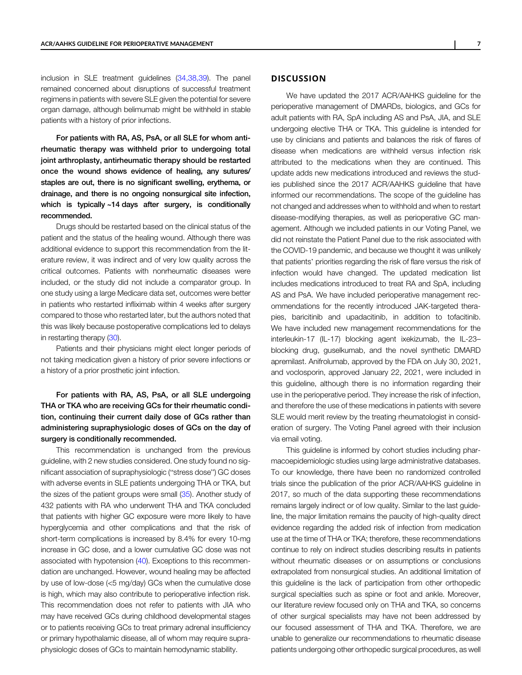inclusion in SLE treatment guidelines [\(34,38,39\)](#page-9-0). The panel remained concerned about disruptions of successful treatment regimens in patients with severe SLE given the potential for severe organ damage, although belimumab might be withheld in stable patients with a history of prior infections.

For patients with RA, AS, PsA, or all SLE for whom antirheumatic therapy was withheld prior to undergoing total joint arthroplasty, antirheumatic therapy should be restarted once the wound shows evidence of healing, any sutures/ staples are out, there is no significant swelling, erythema, or drainage, and there is no ongoing nonsurgical site infection, which is typically ~14 days after surgery, is conditionally recommended.

Drugs should be restarted based on the clinical status of the patient and the status of the healing wound. Although there was additional evidence to support this recommendation from the literature review, it was indirect and of very low quality across the critical outcomes. Patients with nonrheumatic diseases were included, or the study did not include a comparator group. In one study using a large Medicare data set, outcomes were better in patients who restarted infliximab within 4 weeks after surgery compared to those who restarted later, but the authors noted that this was likely because postoperative complications led to delays in restarting therapy ([30\)](#page-9-0).

Patients and their physicians might elect longer periods of not taking medication given a history of prior severe infections or a history of a prior prosthetic joint infection.

For patients with RA, AS, PsA, or all SLE undergoing THA or TKA who are receiving GCs for their rheumatic condition, continuing their current daily dose of GCs rather than administering supraphysiologic doses of GCs on the day of surgery is conditionally recommended.

This recommendation is unchanged from the previous guideline, with 2 new studies considered. One study found no significant association of supraphysiologic ("stress dose") GC doses with adverse events in SLE patients undergoing THA or TKA, but the sizes of the patient groups were small ([35\)](#page-9-0). Another study of 432 patients with RA who underwent THA and TKA concluded that patients with higher GC exposure were more likely to have hyperglycemia and other complications and that the risk of short-term complications is increased by 8.4% for every 10-mg increase in GC dose, and a lower cumulative GC dose was not associated with hypotension ([40](#page-9-0)). Exceptions to this recommendation are unchanged. However, wound healing may be affected by use of low-dose (<5 mg/day) GCs when the cumulative dose is high, which may also contribute to perioperative infection risk. This recommendation does not refer to patients with JIA who may have received GCs during childhood developmental stages or to patients receiving GCs to treat primary adrenal insufficiency or primary hypothalamic disease, all of whom may require supraphysiologic doses of GCs to maintain hemodynamic stability.

## **DISCUSSION**

We have updated the 2017 ACR/AAHKS guideline for the perioperative management of DMARDs, biologics, and GCs for adult patients with RA, SpA including AS and PsA, JIA, and SLE undergoing elective THA or TKA. This guideline is intended for use by clinicians and patients and balances the risk of flares of disease when medications are withheld versus infection risk attributed to the medications when they are continued. This update adds new medications introduced and reviews the studies published since the 2017 ACR/AAHKS guideline that have informed our recommendations. The scope of the guideline has not changed and addresses when to withhold and when to restart disease-modifying therapies, as well as perioperative GC management. Although we included patients in our Voting Panel, we did not reinstate the Patient Panel due to the risk associated with the COVID-19 pandemic, and because we thought it was unlikely that patients' priorities regarding the risk of flare versus the risk of infection would have changed. The updated medication list includes medications introduced to treat RA and SpA, including AS and PsA. We have included perioperative management recommendations for the recently introduced JAK-targeted therapies, baricitinib and upadacitinib, in addition to tofacitinib. We have included new management recommendations for the interleukin-17 (IL-17) blocking agent ixekizumab, the IL-23– blocking drug, guselkumab, and the novel synthetic DMARD apremilast. Anifrolumab, approved by the FDA on July 30, 2021, and voclosporin, approved January 22, 2021, were included in this guideline, although there is no information regarding their use in the perioperative period. They increase the risk of infection, and therefore the use of these medications in patients with severe SLE would merit review by the treating rheumatologist in consideration of surgery. The Voting Panel agreed with their inclusion via email voting.

This guideline is informed by cohort studies including pharmacoepidemiologic studies using large administrative databases. To our knowledge, there have been no randomized controlled trials since the publication of the prior ACR/AAHKS guideline in 2017, so much of the data supporting these recommendations remains largely indirect or of low quality. Similar to the last guideline, the major limitation remains the paucity of high-quality direct evidence regarding the added risk of infection from medication use at the time of THA or TKA; therefore, these recommendations continue to rely on indirect studies describing results in patients without rheumatic diseases or on assumptions or conclusions extrapolated from nonsurgical studies. An additional limitation of this guideline is the lack of participation from other orthopedic surgical specialties such as spine or foot and ankle. Moreover, our literature review focused only on THA and TKA, so concerns of other surgical specialists may have not been addressed by our focused assessment of THA and TKA. Therefore, we are unable to generalize our recommendations to rheumatic disease patients undergoing other orthopedic surgical procedures, as well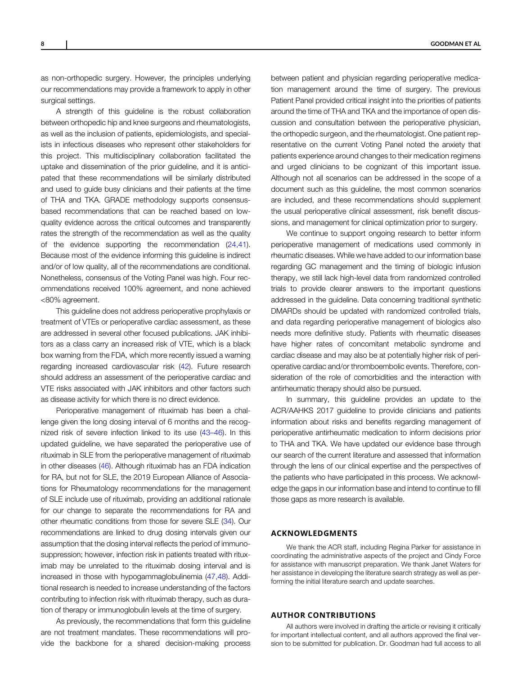as non-orthopedic surgery. However, the principles underlying our recommendations may provide a framework to apply in other surgical settings.

A strength of this guideline is the robust collaboration between orthopedic hip and knee surgeons and rheumatologists, as well as the inclusion of patients, epidemiologists, and specialists in infectious diseases who represent other stakeholders for this project. This multidisciplinary collaboration facilitated the uptake and dissemination of the prior guideline, and it is anticipated that these recommendations will be similarly distributed and used to guide busy clinicians and their patients at the time of THA and TKA. GRADE methodology supports consensusbased recommendations that can be reached based on lowquality evidence across the critical outcomes and transparently rates the strength of the recommendation as well as the quality of the evidence supporting the recommendation [\(24,41](#page-8-0)). Because most of the evidence informing this guideline is indirect and/or of low quality, all of the recommendations are conditional. Nonetheless, consensus of the Voting Panel was high. Four recommendations received 100% agreement, and none achieved <80% agreement.

This guideline does not address perioperative prophylaxis or treatment of VTEs or perioperative cardiac assessment, as these are addressed in several other focused publications. JAK inhibitors as a class carry an increased risk of VTE, which is a black box warning from the FDA, which more recently issued a warning regarding increased cardiovascular risk ([42\)](#page-9-0). Future research should address an assessment of the perioperative cardiac and VTE risks associated with JAK inhibitors and other factors such as disease activity for which there is no direct evidence.

Perioperative management of rituximab has been a challenge given the long dosing interval of 6 months and the recognized risk of severe infection linked to its use (43–[46](#page-9-0)). In this updated guideline, we have separated the perioperative use of rituximab in SLE from the perioperative management of rituximab in other diseases [\(46](#page-9-0)). Although rituximab has an FDA indication for RA, but not for SLE, the 2019 European Alliance of Associations for Rheumatology recommendations for the management of SLE include use of rituximab, providing an additional rationale for our change to separate the recommendations for RA and other rheumatic conditions from those for severe SLE [\(34\)](#page-9-0). Our recommendations are linked to drug dosing intervals given our assumption that the dosing interval reflects the period of immunosuppression; however, infection risk in patients treated with rituximab may be unrelated to the rituximab dosing interval and is increased in those with hypogammaglobulinemia ([47,48](#page-9-0)). Additional research is needed to increase understanding of the factors contributing to infection risk with rituximab therapy, such as duration of therapy or immunoglobulin levels at the time of surgery.

As previously, the recommendations that form this guideline are not treatment mandates. These recommendations will provide the backbone for a shared decision-making process

between patient and physician regarding perioperative medication management around the time of surgery. The previous Patient Panel provided critical insight into the priorities of patients around the time of THA and TKA and the importance of open discussion and consultation between the perioperative physician, the orthopedic surgeon, and the rheumatologist. One patient representative on the current Voting Panel noted the anxiety that patients experience around changes to their medication regimens and urged clinicians to be cognizant of this important issue. Although not all scenarios can be addressed in the scope of a document such as this guideline, the most common scenarios are included, and these recommendations should supplement the usual perioperative clinical assessment, risk benefit discussions, and management for clinical optimization prior to surgery.

We continue to support ongoing research to better inform perioperative management of medications used commonly in rheumatic diseases. While we have added to our information base regarding GC management and the timing of biologic infusion therapy, we still lack high-level data from randomized controlled trials to provide clearer answers to the important questions addressed in the guideline. Data concerning traditional synthetic DMARDs should be updated with randomized controlled trials, and data regarding perioperative management of biologics also needs more definitive study. Patients with rheumatic diseases have higher rates of concomitant metabolic syndrome and cardiac disease and may also be at potentially higher risk of perioperative cardiac and/or thromboembolic events. Therefore, consideration of the role of comorbidities and the interaction with antirheumatic therapy should also be pursued.

In summary, this guideline provides an update to the ACR/AAHKS 2017 guideline to provide clinicians and patients information about risks and benefits regarding management of perioperative antirheumatic medication to inform decisions prior to THA and TKA. We have updated our evidence base through our search of the current literature and assessed that information through the lens of our clinical expertise and the perspectives of the patients who have participated in this process. We acknowledge the gaps in our information base and intend to continue to fill those gaps as more research is available.

#### ACKNOWLEDGMENTS

We thank the ACR staff, including Regina Parker for assistance in coordinating the administrative aspects of the project and Cindy Force for assistance with manuscript preparation. We thank Janet Waters for her assistance in developing the literature search strategy as well as performing the initial literature search and update searches.

## AUTHOR CONTRIBUTIONS

All authors were involved in drafting the article or revising it critically for important intellectual content, and all authors approved the final version to be submitted for publication. Dr. Goodman had full access to all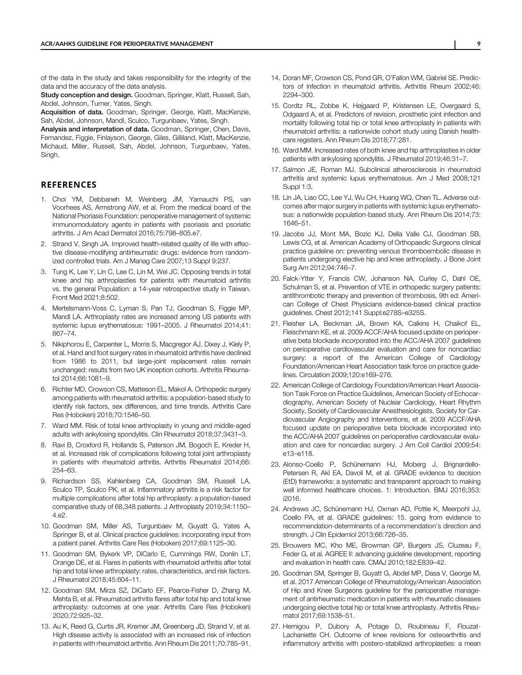<span id="page-8-0"></span>of the data in the study and takes responsibility for the integrity of the data and the accuracy of the data analysis.

Study conception and design. Goodman, Springer, Klatt, Russell, Sah, Abdel, Johnson, Turner, Yates, Singh.

Acquisition of data. Goodman, Springer, George, Klatt, MacKenzie, Sah, Abdel, Johnson, Mandl, Sculco, Turgunbaev, Yates, Singh.

Analysis and interpretation of data. Goodman, Springer, Chen, Davis, Fernandez, Figgie, Finlayson, George, Giles, Gilliland, Klatt, MacKenzie, Michaud, Miller, Russell, Sah, Abdel, Johnson, Turgunbaev, Yates, Singh.

## **REFERENCES**

- 1. Choi YM, Debbaneh M, Weinberg JM, Yamauchi PS, van Voorhees AS, Armstrong AW, et al. From the medical board of the National Psoriasis Foundation: perioperative management of systemic immunomodulatory agents in patients with psoriasis and psoriatic arthritis. J Am Acad Dermatol 2016;75:798–805.e7.
- 2. Strand V, Singh JA. Improved health-related quality of life with effective disease-modifying antirheumatic drugs: evidence from randomized controlled trials. Am J Manag Care 2007;13 Suppl 9:237.
- 3. Tung K, Lee Y, Lin C, Lee C, Lin M, Wei JC. Opposing trends in total knee and hip arthroplasties for patients with rheumatoid arthritis vs. the general Population: a 14-year retrospective study in Taiwan. Front Med 2021;8:502.
- 4. Mertelsmann-Voss C, Lyman S, Pan TJ, Goodman S, Figgie MP, Mandl LA. Arthroplasty rates are increased among US patients with systemic lupus erythematosus: 1991–2005. J Rheumatol 2014;41: 867–74.
- 5. Nikiphorou E, Carpenter L, Morris S, Macgregor AJ, Dixey J, Kiely P, et al. Hand and foot surgery rates in rheumatoid arthritis have declined from 1986 to 2011, but large-joint replacement rates remain unchanged: results from two UK inception cohorts. Arthritis Rheumatol 2014;66:1081–9.
- 6. Richter MD, Crowson CS, Matteson EL, Makol A. Orthopedic surgery among patients with rheumatoid arthritis: a population-based study to identify risk factors, sex differences, and time trends. Arthritis Care Res (Hoboken) 2018;70:1546–50.
- 7. Ward MM. Risk of total knee arthroplasty in young and middle-aged adults with ankylosing spondylitis. Clin Rheumatol 2018;37:3431–3.
- 8. Ravi B, Croxford R, Hollands S, Paterson JM, Bogoch E, Kreder H, et al. Increased risk of complications following total joint arthroplasty in patients with rheumatoid arthritis. Arthritis Rheumatol 2014;66: 254–63.
- 9. Richardson SS, Kahlenberg CA, Goodman SM, Russell LA, Sculco TP, Sculco PK, et al. Inflammatory arthritis is a risk factor for multiple complications after total hip arthroplasty: a population-based comparative study of 68,348 patients. J Arthroplasty 2019;34:1150– 4.e2.
- 10. Goodman SM, Miller AS, Turgunbaev M, Guyatt G, Yates A, Springer B, et al. Clinical practice guidelines: incorporating input from a patient panel. Arthritis Care Res (Hoboken) 2017;69:1125–30.
- 11. Goodman SM, Bykerk VP, DiCarlo E, Cummings RW, Donlin LT, Orange DE, et al. Flares in patients with rheumatoid arthritis after total hip and total knee arthroplasty: rates, characteristics, and risk factors. J Rheumatol 2018;45:604–11.
- 12. Goodman SM, Mirza SZ, DiCarlo EF, Pearce-Fisher D, Zhang M, Mehta B, et al. Rheumatoid arthritis flares after total hip and total knee arthroplasty: outcomes at one year. Arthritis Care Res (Hoboken) 2020;72:925–32.
- 13. Au K, Reed G, Curtis JR, Kremer JM, Greenberg JD, Strand V, et al. High disease activity is associated with an increased risk of infection in patients with rheumatoid arthritis. Ann Rheum Dis 2011;70:785–91.
- 14. Doran MF, Crowson CS, Pond GR, O'Fallon WM, Gabriel SE. Predictors of infection in rheumatoid arthritis. Arthritis Rheum 2002;46: 2294–300.
- 15. Cordtz RL, Zobbe K, Højgaard P, Kristensen LE, Overgaard S, Odgaard A, et al. Predictors of revision, prosthetic joint infection and mortality following total hip or total knee arthroplasty in patients with rheumatoid arthritis: a nationwide cohort study using Danish healthcare registers. Ann Rheum Dis 2018;77:281.
- 16. Ward MM. Increased rates of both knee and hip arthroplasties in older patients with ankylosing spondylitis. J Rheumatol 2019;46:31–7.
- 17. Salmon JE, Roman MJ. Subclinical atherosclerosis in rheumatoid arthritis and systemic lupus erythematosus. Am J Med 2008;121 Suppl 1:3.
- 18. Lin JA, Liao CC, Lee YJ, Wu CH, Huang WQ, Chen TL. Adverse outcomes after major surgery in patients with systemic lupus erythematosus: a nationwide population-based study. Ann Rheum Dis 2014;73: 1646–51.
- 19. Jacobs JJ, Mont MA, Bozic KJ, Della Valle CJ, Goodman SB, Lewis CG, et al. American Academy of Orthopaedic Surgeons clinical practice guideline on: preventing venous thromboembolic disease in patients undergoing elective hip and knee arthroplasty. J Bone Joint Surg Am 2012;94:746–7.
- 20. Falck-Ytter Y, Francis CW, Johanson NA, Curley C, Dahl OE, Schulman S, et al. Prevention of VTE in orthopedic surgery patients: antithrombotic therapy and prevention of thrombosis, 9th ed: American College of Chest Physicians evidence-based clinical practice guidelines. Chest 2012;141 Suppl:e278S–e325S.
- 21. Fleisher LA, Beckman JA, Brown KA, Calkins H, Chaikof EL, Fleischmann KE, et al. 2009 ACCF/AHA focused update on perioperative beta blockade incorporated into the ACC/AHA 2007 guidelines on perioperative cardiovascular evaluation and care for noncardiac surgery: a report of the American College of Cardiology Foundation/American Heart Association task force on practice guidelines. Circulation 2009;120:e169–276.
- 22. American College of Cardiology Foundation/American Heart Association Task Force on Practice Guidelines, American Society of Echocardiography, American Society of Nuclear Cardiology, Heart Rhythm Society, Society of Cardiovascular Anesthesiologists, Society for Cardiovascular Angiography and Interventions, et al. 2009 ACCF/AHA focused update on perioperative beta blockade incorporated into the ACC/AHA 2007 guidelines on perioperative cardiovascular evaluation and care for noncardiac surgery. J Am Coll Cardiol 2009;54: e13–e118.
- 23. Alonso-Coello P, Schünemann HJ, Moberg J, Brignardello-Petersen R, Akl EA, Davoli M, et al. GRADE evidence to decision (EtD) frameworks: a systematic and transparent approach to making well informed healthcare choices. 1: Introduction. BMJ 2016;353: i2016.
- 24. Andrews JC, Schünemann HJ, Oxman AD, Pottie K, Meerpohl JJ, Coello PA, et al. GRADE guidelines: 15. going from evidence to recommendation-determinants of a recommendation's direction and strength. J Clin Epidemiol 2013;66:726–35.
- 25. Brouwers MC, Kho ME, Browman GP, Burgers JS, Cluzeau F, Feder G, et al. AGREE II: advancing guideline development, reporting and evaluation in health care. CMAJ 2010;182:E839–42.
- 26. Goodman SM, Springer B, Guyatt G, Abdel MP, Dasa V, George M, et al. 2017 American College of Rheumatology/American Association of Hip and Knee Surgeons guideline for the perioperative management of antirheumatic medication in patients with rheumatic diseases undergoing elective total hip or total knee arthroplasty. Arthritis Rheumatol 2017;69:1538–51.
- 27. Hernigou P, Dubory A, Potage D, Roubineau F, Flouzat-Lachaniette CH. Outcome of knee revisions for osteoarthritis and inflammatory arthritis with postero-stabilized arthroplasties: a mean